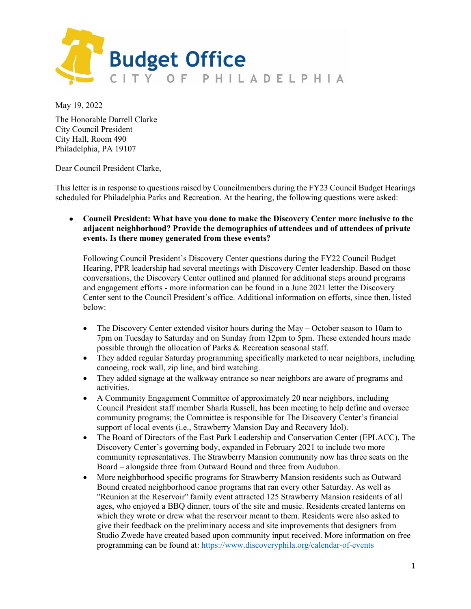

May 19, 2022

The Honorable Darrell Clarke City Council President City Hall, Room 490 Philadelphia, PA 19107

Dear Council President Clarke,

This letter is in response to questions raised by Councilmembers during the FY23 Council Budget Hearings scheduled for Philadelphia Parks and Recreation. At the hearing, the following questions were asked:

• **Council President: What have you done to make the Discovery Center more inclusive to the adjacent neighborhood? Provide the demographics of attendees and of attendees of private events. Is there money generated from these events?**

Following Council President's Discovery Center questions during the FY22 Council Budget Hearing, PPR leadership had several meetings with Discovery Center leadership. Based on those conversations, the Discovery Center outlined and planned for additional steps around programs and engagement efforts - more information can be found in a June 2021 letter the Discovery Center sent to the Council President's office. Additional information on efforts, since then, listed below:

- The Discovery Center extended visitor hours during the May October season to 10am to 7pm on Tuesday to Saturday and on Sunday from 12pm to 5pm. These extended hours made possible through the allocation of Parks & Recreation seasonal staff.
- They added regular Saturday programming specifically marketed to near neighbors, including canoeing, rock wall, zip line, and bird watching.
- They added signage at the walkway entrance so near neighbors are aware of programs and activities.
- A Community Engagement Committee of approximately 20 near neighbors, including Council President staff member Sharla Russell, has been meeting to help define and oversee community programs; the Committee is responsible for The Discovery Center's financial support of local events (i.e., Strawberry Mansion Day and Recovery Idol).
- The Board of Directors of the East Park Leadership and Conservation Center (EPLACC), The Discovery Center's governing body, expanded in February 2021 to include two more community representatives. The Strawberry Mansion community now has three seats on the Board – alongside three from Outward Bound and three from Audubon.
- More neighborhood specific programs for Strawberry Mansion residents such as Outward Bound created neighborhood canoe programs that ran every other Saturday. As well as "Reunion at the Reservoir" family event attracted 125 Strawberry Mansion residents of all ages, who enjoyed a BBQ dinner, tours of the site and music. Residents created lanterns on which they wrote or drew what the reservoir meant to them. Residents were also asked to give their feedback on the preliminary access and site improvements that designers from Studio Zwede have created based upon community input received. More information on free programming can be found at:<https://www.discoveryphila.org/calendar-of-events>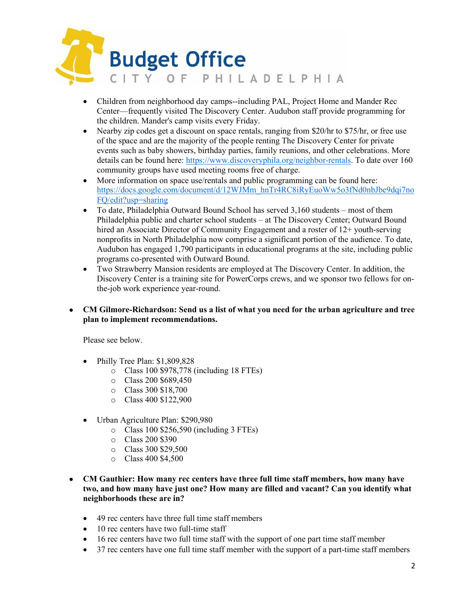

- Children from neighborhood day camps--including PAL, Project Home and Mander Rec Center—frequently visited The Discovery Center. Audubon staff provide programming for the children. Mander's camp visits every Friday.
- Nearby zip codes get a discount on space rentals, ranging from \$20/hr to \$75/hr, or free use of the space and are the majority of the people renting The Discovery Center for private events such as baby showers, birthday parties, family reunions, and other celebrations. More details can be found here: [https://www.discoveryphila.org/neighbor-rentals.](https://www.discoveryphila.org/neighbor-rentals) To date over 160 community groups have used meeting rooms free of charge.
- More information on space use/rentals and public programming can be found here: https://docs.google.com/document/d/12WJMm\_hnTr4RC8iRyEuoWw5o3fNd0nbJbe9dai7no [FQ/edit?usp=sharing](https://docs.google.com/document/d/12WJMm_hnTr4RC8iRyEuoWw5o3fNd0nbJbe9dqi7noFQ/edit?usp=sharing)
- To date, Philadelphia Outward Bound School has served 3,160 students most of them Philadelphia public and charter school students – at The Discovery Center; Outward Bound hired an Associate Director of Community Engagement and a roster of 12+ youth-serving nonprofits in North Philadelphia now comprise a significant portion of the audience. To date, Audubon has engaged 1,790 participants in educational programs at the site, including public programs co-presented with Outward Bound.
- Two Strawberry Mansion residents are employed at The Discovery Center. In addition, the Discovery Center is a training site for PowerCorps crews, and we sponsor two fellows for onthe-job work experience year-round.
- **CM Gilmore-Richardson: Send us a list of what you need for the urban agriculture and tree plan to implement recommendations.**

Please see below.

- Philly Tree Plan: \$1,809,828
	- o Class 100 \$978,778 (including 18 FTEs)
	- o Class 200 \$689,450
	- o Class 300 \$18,700
	- o Class 400 \$122,900
- Urban Agriculture Plan: \$290,980
	- o Class 100 \$256,590 (including 3 FTEs)
	- o Class 200 \$390
	- o Class 300 \$29,500
	- o Class 400 \$4,500
- **CM Gauthier: How many rec centers have three full time staff members, how many have two, and how many have just one? How many are filled and vacant? Can you identify what neighborhoods these are in?**
	- 49 rec centers have three full time staff members
	- 10 rec centers have two full-time staff
	- 16 rec centers have two full time staff with the support of one part time staff member
	- 37 rec centers have one full time staff member with the support of a part-time staff members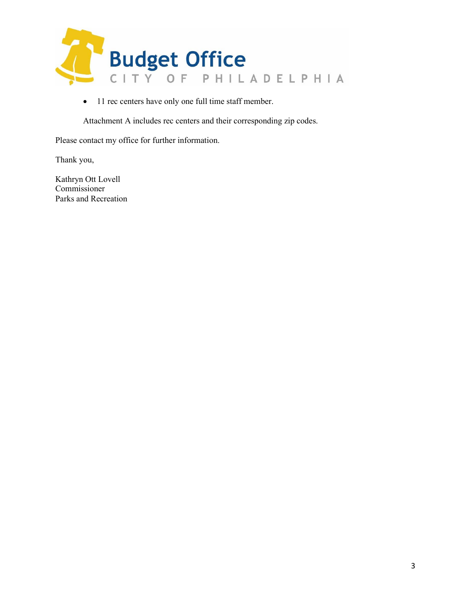

• 11 rec centers have only one full time staff member.

Attachment A includes rec centers and their corresponding zip codes.

Please contact my office for further information.

Thank you,

Kathryn Ott Lovell Commissioner Parks and Recreation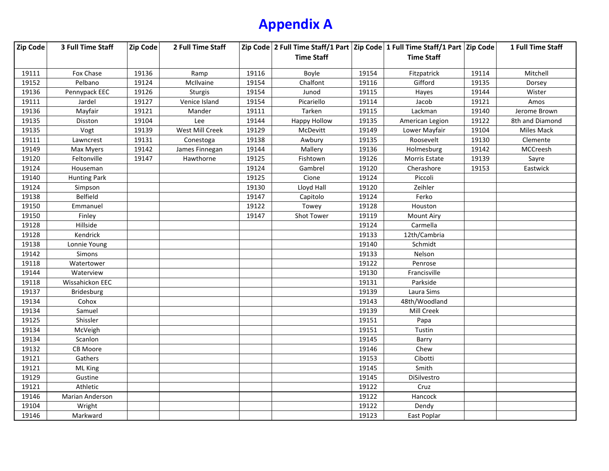## **Appendix A**

| Zip Code | 3 Full Time Staff   | Zip Code | 2 Full Time Staff |       |                   |       | Zip Code 2 Full Time Staff/1 Part Zip Code 1 Full Time Staff/1 Part Zip Code |       | 1 Full Time Staff |
|----------|---------------------|----------|-------------------|-------|-------------------|-------|------------------------------------------------------------------------------|-------|-------------------|
|          |                     |          |                   |       | <b>Time Staff</b> |       | <b>Time Staff</b>                                                            |       |                   |
|          |                     |          |                   |       |                   |       |                                                                              |       |                   |
| 19111    | Fox Chase           | 19136    | Ramp              | 19116 | Boyle             | 19154 | Fitzpatrick                                                                  | 19114 | Mitchell          |
| 19152    | Pelbano             | 19124    | McIlvaine         | 19154 | Chalfont          | 19116 | Gifford                                                                      | 19135 | Dorsey            |
| 19136    | Pennypack EEC       | 19126    | Sturgis           | 19154 | Junod             | 19115 | Hayes                                                                        | 19144 | Wister            |
| 19111    | Jardel              | 19127    | Venice Island     | 19154 | Picariello        | 19114 | Jacob                                                                        | 19121 | Amos              |
| 19136    | Mayfair             | 19121    | Mander            | 19111 | Tarken            | 19115 | Lackman                                                                      | 19140 | Jerome Brown      |
| 19135    | Disston             | 19104    | Lee               | 19144 | Happy Hollow      | 19135 | American Legion                                                              | 19122 | 8th and Diamond   |
| 19135    | Vogt                | 19139    | West Mill Creek   | 19129 | McDevitt          | 19149 | Lower Mayfair                                                                | 19104 | Miles Mack        |
| 19111    | Lawncrest           | 19131    | Conestoga         | 19138 | Awbury            | 19135 | Roosevelt                                                                    | 19130 | Clemente          |
| 19149    | Max Myers           | 19142    | James Finnegan    | 19144 | Mallery           | 19136 | Holmesburg                                                                   | 19142 | MCCreesh          |
| 19120    | Feltonville         | 19147    | Hawthorne         | 19125 | Fishtown          | 19126 | Morris Estate                                                                | 19139 | Sayre             |
| 19124    | Houseman            |          |                   | 19124 | Gambrel           | 19120 | Cherashore                                                                   | 19153 | Eastwick          |
| 19140    | <b>Hunting Park</b> |          |                   | 19125 | Cione             | 19124 | Piccoli                                                                      |       |                   |
| 19124    | Simpson             |          |                   | 19130 | Lloyd Hall        | 19120 | Zeihler                                                                      |       |                   |
| 19138    | <b>Belfield</b>     |          |                   | 19147 | Capitolo          | 19124 | Ferko                                                                        |       |                   |
| 19150    | Emmanuel            |          |                   | 19122 | Towey             | 19128 | Houston                                                                      |       |                   |
| 19150    | Finley              |          |                   | 19147 | <b>Shot Tower</b> | 19119 | <b>Mount Airy</b>                                                            |       |                   |
| 19128    | Hillside            |          |                   |       |                   | 19124 | Carmella                                                                     |       |                   |
| 19128    | Kendrick            |          |                   |       |                   | 19133 | 12th/Cambria                                                                 |       |                   |
| 19138    | Lonnie Young        |          |                   |       |                   | 19140 | Schmidt                                                                      |       |                   |
| 19142    | <b>Simons</b>       |          |                   |       |                   | 19133 | Nelson                                                                       |       |                   |
| 19118    | Watertower          |          |                   |       |                   | 19122 | Penrose                                                                      |       |                   |
| 19144    | Waterview           |          |                   |       |                   | 19130 | Francisville                                                                 |       |                   |
| 19118    | Wissahickon EEC     |          |                   |       |                   | 19131 | Parkside                                                                     |       |                   |
| 19137    | <b>Bridesburg</b>   |          |                   |       |                   | 19139 | Laura Sims                                                                   |       |                   |
| 19134    | Cohox               |          |                   |       |                   | 19143 | 48th/Woodland                                                                |       |                   |
| 19134    | Samuel              |          |                   |       |                   | 19139 | Mill Creek                                                                   |       |                   |
| 19125    | Shissler            |          |                   |       |                   | 19151 | Papa                                                                         |       |                   |
| 19134    | McVeigh             |          |                   |       |                   | 19151 | Tustin                                                                       |       |                   |
| 19134    | Scanlon             |          |                   |       |                   | 19145 | Barry                                                                        |       |                   |
| 19132    | CB Moore            |          |                   |       |                   | 19146 | Chew                                                                         |       |                   |
| 19121    | Gathers             |          |                   |       |                   | 19153 | Cibotti                                                                      |       |                   |
| 19121    | ML King             |          |                   |       |                   | 19145 | Smith                                                                        |       |                   |
| 19129    | Gustine             |          |                   |       |                   | 19145 | DiSilvestro                                                                  |       |                   |
| 19121    | Athletic            |          |                   |       |                   | 19122 | Cruz                                                                         |       |                   |
| 19146    | Marian Anderson     |          |                   |       |                   | 19122 | Hancock                                                                      |       |                   |
| 19104    | Wright              |          |                   |       |                   | 19122 | Dendy                                                                        |       |                   |
| 19146    | Markward            |          |                   |       |                   | 19123 | East Poplar                                                                  |       |                   |